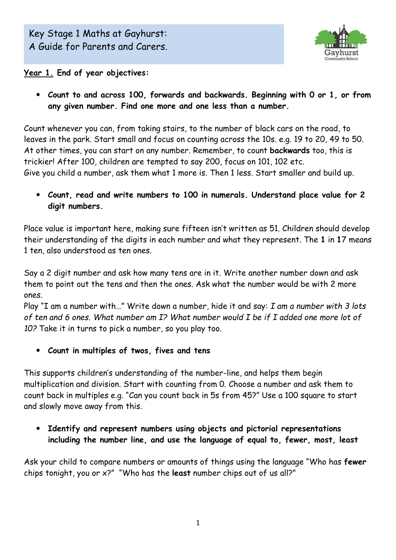

**Year 1. End of year objectives:**

 **Count to and across 100, forwards and backwards. Beginning with 0 or 1, or from any given number. Find one more and one less than a number.**

Count whenever you can, from taking stairs, to the number of black cars on the road, to leaves in the park. Start small and focus on counting across the 10s. e.g. 19 to 20, 49 to 50. At other times, you can start on any number. Remember, to count **backwards** too, this is trickier! After 100, children are tempted to say 200, focus on 101, 102 etc. Give you child a number, ask them what 1 more is. Then 1 less. Start smaller and build up.

 **Count, read and write numbers to 100 in numerals. Understand place value for 2 digit numbers.**

Place value is important here, making sure fifteen isn't written as 51. Children should develop their understanding of the digits in each number and what they represent. The **1** in **1**7 means 1 ten, also understood as ten ones.

Say a 2 digit number and ask how many tens are in it. Write another number down and ask them to point out the tens and then the ones. Ask what the number would be with 2 more ones.

Play "I am a number with…" Write down a number, hide it and say: *I am a number with 3 lots of ten and 6 ones. What number am I? What number would I be if I added one more lot of 10?* Take it in turns to pick a number, so you play too.

**Count in multiples of twos, fives and tens** 

This supports children's understanding of the number-line, and helps them begin multiplication and division. Start with counting from 0. Choose a number and ask them to count back in multiples e.g. "Can you count back in 5s from 45?" Use a 100 square to start and slowly move away from this.

 **Identify and represent numbers using objects and pictorial representations including the number line, and use the language of equal to, fewer, most, least**

Ask your child to compare numbers or amounts of things using the language "Who has **fewer** chips tonight, you or x?" "Who has the **least** number chips out of us all?"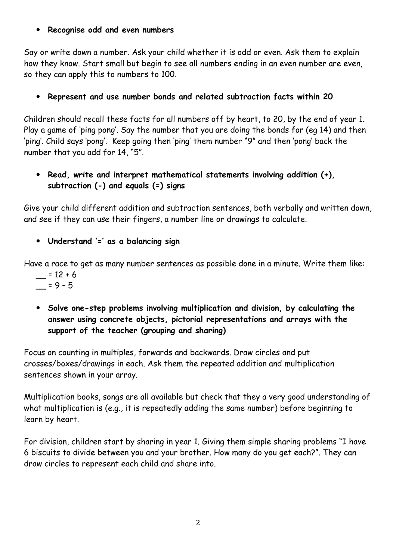## **Recognise odd and even numbers**

Say or write down a number. Ask your child whether it is odd or even. Ask them to explain how they know. Start small but begin to see all numbers ending in an even number are even, so they can apply this to numbers to 100.

## **Represent and use number bonds and related subtraction facts within 20**

Children should recall these facts for all numbers off by heart, to 20, by the end of year 1. Play a game of 'ping pong'. Say the number that you are doing the bonds for (eg 14) and then 'ping'. Child says 'pong'. Keep going then 'ping' them number "9" and then 'pong' back the number that you add for 14, "5".

 **Read, write and interpret mathematical statements involving addition (+), subtraction (-) and equals (=) signs**

Give your child different addition and subtraction sentences, both verbally and written down, and see if they can use their fingers, a number line or drawings to calculate.

**Understand '=' as a balancing sign**

Have a race to get as many number sentences as possible done in a minute. Write them like:

- $= 12 + 6$  $= 9 - 5$
- **Solve one-step problems involving multiplication and division, by calculating the answer using concrete objects, pictorial representations and arrays with the support of the teacher (grouping and sharing)**

Focus on counting in multiples, forwards and backwards. Draw circles and put crosses/boxes/drawings in each. Ask them the repeated addition and multiplication sentences shown in your array.

Multiplication books, songs are all available but check that they a very good understanding of what multiplication is (e.g., it is repeatedly adding the same number) before beginning to learn by heart.

For division, children start by sharing in year 1. Giving them simple sharing problems "I have 6 biscuits to divide between you and your brother. How many do you get each?". They can draw circles to represent each child and share into.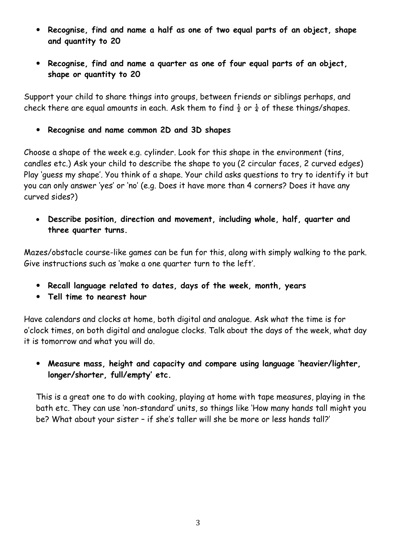- **Recognise, find and name a half as one of two equal parts of an object, shape and quantity to 20**
- **Recognise, find and name a quarter as one of four equal parts of an object, shape or quantity to 20**

Support your child to share things into groups, between friends or siblings perhaps, and check there are equal amounts in each. Ask them to find  $\frac{1}{2}$  or  $\frac{1}{4}$  of these things/shapes.

**Recognise and name common 2D and 3D shapes**

Choose a shape of the week e.g. cylinder. Look for this shape in the environment (tins, candles etc.) Ask your child to describe the shape to you (2 circular faces, 2 curved edges) Play 'guess my shape'. You think of a shape. Your child asks questions to try to identify it but you can only answer 'yes' or 'no' (e.g. Does it have more than 4 corners? Does it have any curved sides?)

 **Describe position, direction and movement, including whole, half, quarter and three quarter turns.**

Mazes/obstacle course-like games can be fun for this, along with simply walking to the park. Give instructions such as 'make a one quarter turn to the left'.

- **Recall language related to dates, days of the week, month, years**
- **Tell time to nearest hour**

Have calendars and clocks at home, both digital and analogue. Ask what the time is for o'clock times, on both digital and analogue clocks. Talk about the days of the week, what day it is tomorrow and what you will do.

 **Measure mass, height and capacity and compare using language 'heavier/lighter, longer/shorter, full/empty' etc.**

This is a great one to do with cooking, playing at home with tape measures, playing in the bath etc. They can use 'non-standard' units, so things like 'How many hands tall might you be? What about your sister – if she's taller will she be more or less hands tall?'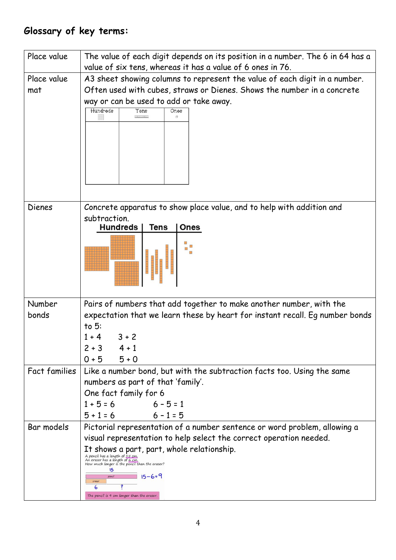## **Glossary of key terms:**

| Place value          | The value of each digit depends on its position in a number. The 6 in 64 has a<br>value of six tens, whereas it has a value of 6 ones in 76.                                                                                                                                                                                                                                                                       |
|----------------------|--------------------------------------------------------------------------------------------------------------------------------------------------------------------------------------------------------------------------------------------------------------------------------------------------------------------------------------------------------------------------------------------------------------------|
| Place value<br>mat   | A3 sheet showing columns to represent the value of each digit in a number.<br>Often used with cubes, straws or Dienes. Shows the number in a concrete<br>way or can be used to add or take away.<br>Hundreds<br>Tens<br>Ones<br>annan                                                                                                                                                                              |
| <b>Dienes</b>        | Concrete apparatus to show place value, and to help with addition and<br>subtraction.<br><b>Hundreds</b><br><b>Tens</b><br>Ones                                                                                                                                                                                                                                                                                    |
| Number<br>bonds      | Pairs of numbers that add together to make another number, with the<br>expectation that we learn these by heart for instant recall. Eg number bonds<br>to $5:$<br>$3 + 2$<br>$1 + 4$<br>$2 + 3$<br>$4 + 1$<br>$5 + 0$<br>$0 + 5$                                                                                                                                                                                   |
| <b>Fact families</b> | Like a number bond, but with the subtraction facts too. Using the same<br>numbers as part of that 'family'.<br>One fact family for 6<br>$1 + 5 = 6$<br>$6 - 5 = 1$<br>$5 + 1 = 6$<br>$6 - 1 = 5$                                                                                                                                                                                                                   |
| Bar models           | Pictorial representation of a number sentence or word problem, allowing a<br>visual representation to help select the correct operation needed.<br>It shows a part, part, whole relationship.<br>A pencil has a length of 15 cm.<br>An eraser has a length of 6 cm.<br>How much longer is the pencil than the eraser?<br>15<br>$15 - 6 = 9$<br>pencil<br>eraser<br>6<br>The pencil is 9 cm longer than the eraser. |